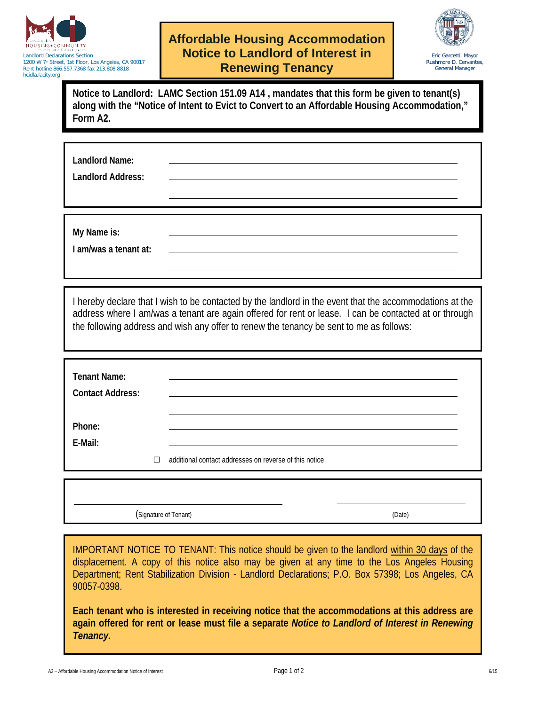

Landlord Declarations Section 1200 W 7<sup>th</sup> Street, 1st Floor, Los Angeles, CA 90017 Rent hotline 866.557.7368 fax 213.808.8818 hcidla.lacity.org

## **Affordable Housing Accommodation Notice to Landlord of Interest in Renewing Tenancy**



**Notice to Landlord: LAMC Section 151.09 A14 , mandates that this form be given to tenant(s) along with the "Notice of Intent to Evict to Convert to an Affordable Housing Accommodation," Form A2.**

**Landlord Name:**

**Landlord Address:**

**My Name is:**

**I am/was a tenant at:**

I hereby declare that I wish to be contacted by the landlord in the event that the accommodations at the address where I am/was a tenant are again offered for rent or lease. I can be contacted at or through the following address and wish any offer to renew the tenancy be sent to me as follows:

| <b>Tenant Name:</b><br><b>Contact Address:</b> |   |                                                        |
|------------------------------------------------|---|--------------------------------------------------------|
| Phone:<br>E-Mail:                              | П | additional contact addresses on reverse of this notice |

(Signature of Tenant) (Date)

IMPORTANT NOTICE TO TENANT: This notice should be given to the landlord within 30 days of the displacement. A copy of this notice also may be given at any time to the Los Angeles Housing Department; Rent Stabilization Division - Landlord Declarations; P.O. Box 57398; Los Angeles, CA 90057-0398.

**Each tenant who is interested in receiving notice that the accommodations at this address are again offered for rent or lease must file a separate** *Notice to Landlord of Interest in Renewing Tenancy.*

A3 – Affordable Housing Accommodation Notice of Interest 6/15